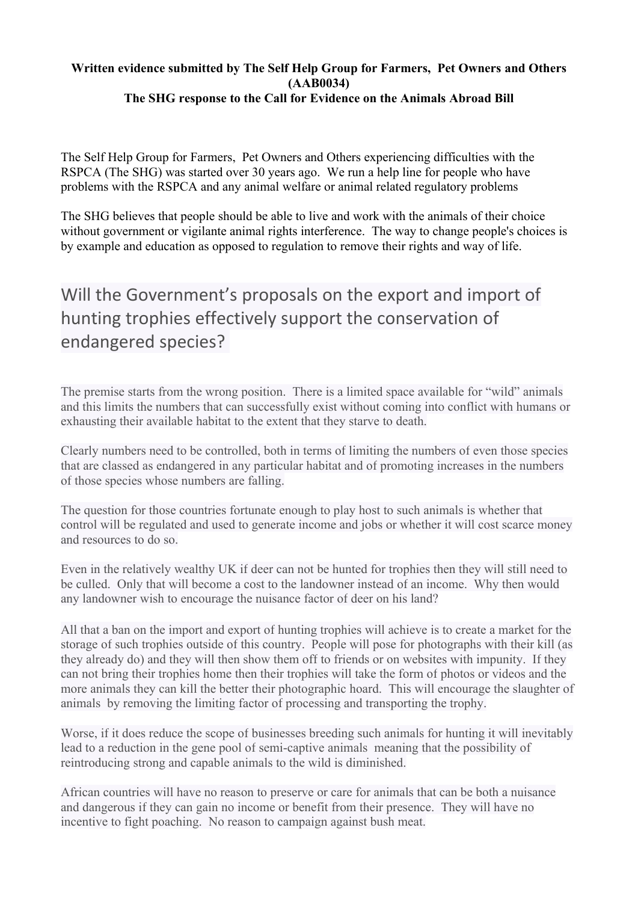#### **Written evidence submitted by The Self Help Group for Farmers, Pet Owners and Others (AAB0034) The SHG response to the Call for Evidence on the Animals Abroad Bill**

The Self Help Group for Farmers, Pet Owners and Others experiencing difficulties with the RSPCA (The SHG) was started over 30 years ago. We run a help line for people who have problems with the RSPCA and any animal welfare or animal related regulatory problems

The SHG believes that people should be able to live and work with the animals of their choice without government or vigilante animal rights interference. The way to change people's choices is by example and education as opposed to regulation to remove their rights and way of life.

## Will the Government's proposals on the export and import of hunting trophies effectively support the conservation of endangered species?

The premise starts from the wrong position. There is a limited space available for "wild" animals and this limits the numbers that can successfully exist without coming into conflict with humans or exhausting their available habitat to the extent that they starve to death.

Clearly numbers need to be controlled, both in terms of limiting the numbers of even those species that are classed as endangered in any particular habitat and of promoting increases in the numbers of those species whose numbers are falling.

The question for those countries fortunate enough to play host to such animals is whether that control will be regulated and used to generate income and jobs or whether it will cost scarce money and resources to do so.

Even in the relatively wealthy UK if deer can not be hunted for trophies then they will still need to be culled. Only that will become a cost to the landowner instead of an income. Why then would any landowner wish to encourage the nuisance factor of deer on his land?

All that a ban on the import and export of hunting trophies will achieve is to create a market for the storage of such trophies outside of this country. People will pose for photographs with their kill (as they already do) and they will then show them off to friends or on websites with impunity. If they can not bring their trophies home then their trophies will take the form of photos or videos and the more animals they can kill the better their photographic hoard. This will encourage the slaughter of animals by removing the limiting factor of processing and transporting the trophy.

Worse, if it does reduce the scope of businesses breeding such animals for hunting it will inevitably lead to a reduction in the gene pool of semi-captive animals meaning that the possibility of reintroducing strong and capable animals to the wild is diminished.

African countries will have no reason to preserve or care for animals that can be both a nuisance and dangerous if they can gain no income or benefit from their presence. They will have no incentive to fight poaching. No reason to campaign against bush meat.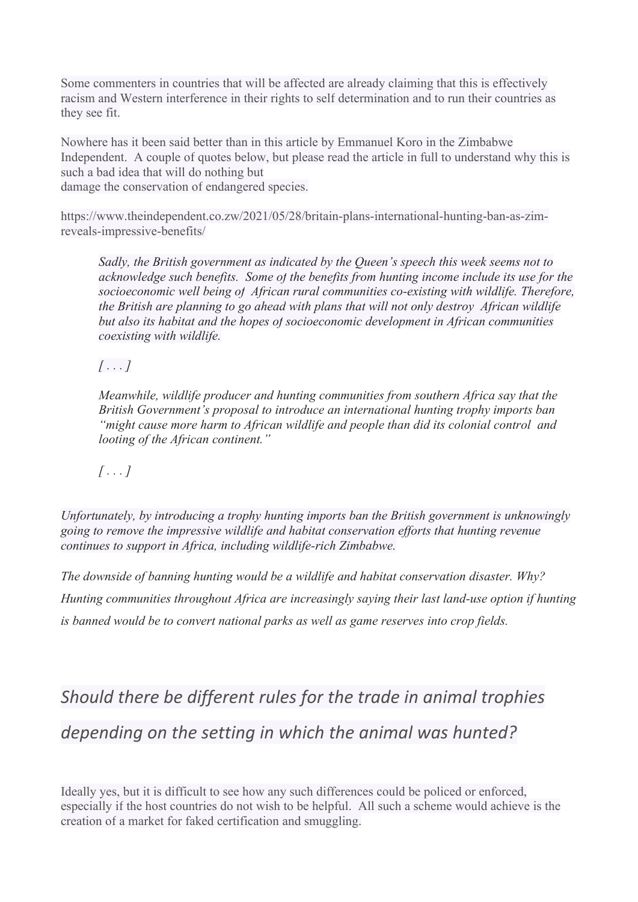Some commenters in countries that will be affected are already claiming that this is effectively racism and Western interference in their rights to self determination and to run their countries as they see fit.

Nowhere has it been said better than in this article by Emmanuel Koro in the Zimbabwe Independent. A couple of quotes below, but please read the article in full to understand why this is such a bad idea that will do nothing but

damage the conservation of endangered species.

[https://www.theindependent.co.zw/2021/05/28/britain-plans-international-hunting-ban-as-zim](https://www.theindependent.co.zw/2021/05/28/britain-plans-international-hunting-ban-as-zim-reveals-impressive-benefits/)[reveals-impressive-benefits/](https://www.theindependent.co.zw/2021/05/28/britain-plans-international-hunting-ban-as-zim-reveals-impressive-benefits/)

*Sadly, the British government as indicated by the Queen's speech this week seems not to acknowledge such benefits. Some of the benefits from hunting income include its use for the socioeconomic well being of African rural communities co-existing with wildlife. Therefore, the British are planning to go ahead with plans that will not only destroy African wildlife but also its habitat and the hopes of socioeconomic development in African communities coexisting with wildlife.*

### *[ . . . ]*

*Meanwhile, wildlife producer and hunting communities from southern Africa say that the British Government's proposal to introduce an international hunting trophy imports ban "might cause more harm to African wildlife and people than did its colonial control and looting of the African continent."*

### $\int$   $\ldots$   $\int$

*Unfortunately, by introducing a trophy hunting imports ban the British government is unknowingly going to remove the impressive wildlife and habitat conservation efforts that hunting revenue continues to support in Africa, including wildlife-rich Zimbabwe.*

*The downside of banning hunting would be a wildlife and habitat conservation disaster. Why? Hunting communities throughout Africa are increasingly saying their last land-use option if hunting is banned would be to convert national parks as well as game reserves into crop fields.*

# *Should there be different rules for the trade in animal trophies depending on the setting in which the animal was hunted?*

Ideally yes, but it is difficult to see how any such differences could be policed or enforced, especially if the host countries do not wish to be helpful. All such a scheme would achieve is the creation of a market for faked certification and smuggling.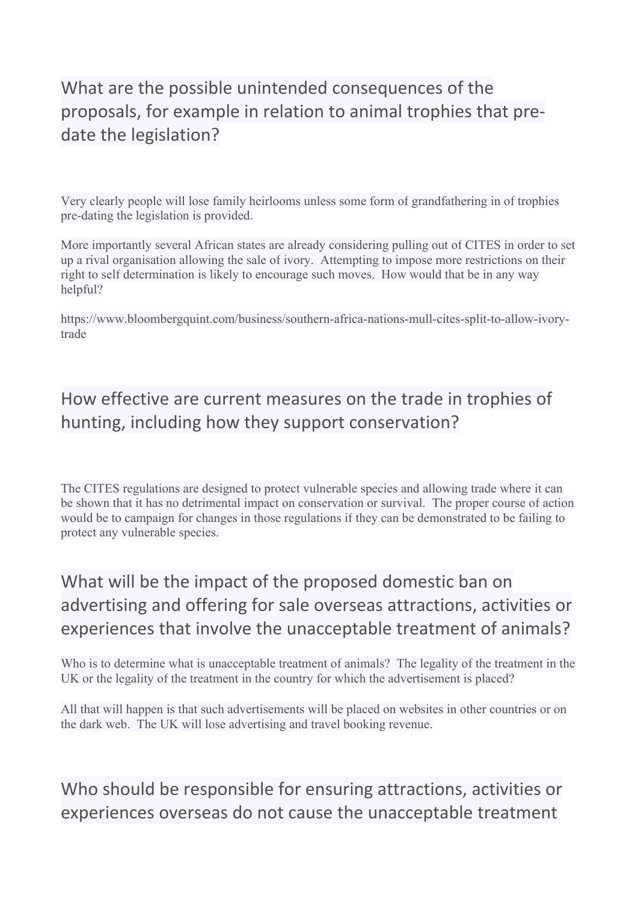## What are the possible unintended consequences of the proposals, for example in relation to animal trophies that predate the legislation?

Very clearly people will lose family heirlooms unless some form of grandfathering in of trophies pre-dating the legislation is provided.

More importantly several African states are already considering pulling out of CITES in order to set up a rival organisation allowing the sale of ivory. Attempting to impose more restrictions on their right to self determination is likely to encourage such moves. How would that be in any way helpful?

[https://www.bloombergquint.com/business/southern-africa-nations-mull-cites-split-to-allow-ivory](https://www.bloombergquint.com/business/southern-africa-nations-mull-cites-split-to-allow-ivory-trade)[trade](https://www.bloombergquint.com/business/southern-africa-nations-mull-cites-split-to-allow-ivory-trade)

## How effective are current measures on the trade in trophies of hunting, including how they support conservation?

The CITES regulations are designed to protect vulnerable species and allowing trade where it can be shown that it has no detrimental impact on conservation or survival. The proper course of action would be to campaign for changes in those regulations if they can be demonstrated to be failing to protect any vulnerable species.

## What will be the impact of the proposed domestic ban on advertising and offering for sale overseas attractions, activities or experiences that involve the unacceptable treatment of animals?

Who is to determine what is unacceptable treatment of animals? The legality of the treatment in the UK or the legality of the treatment in the country for which the advertisement is placed?

All that will happen is that such advertisements will be placed on websites in other countries or on the dark web. The UK will lose advertising and travel booking revenue.

Who should be responsible for ensuring attractions, activities or experiences overseas do not cause the unacceptable treatment